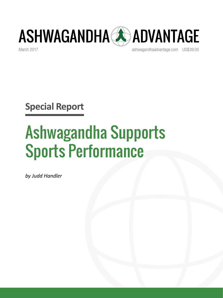

March 2017 [ashwagandhaadvantage.com](http://www.ashwagandhaadvantage.com/) US\$39.00

**Special Report**

# Ashwagandha Supports Sports Performance

*by Judd Handler*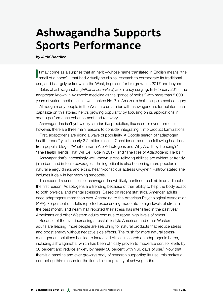# **Ashwagandha Supports Sports Performance**

*by Judd Handler*

If may come as a surprise that an herb—whose name translated in English means "the smell of a horse"—that had virtually no clinical research to corroborate its traditional smell of a horse"—that had virtually no clinical research to corroborate its traditional use, and is largely unknown in the West, is poised for big growth in 2017 and beyond.

Sales of ashwagandha (*Withania somnifera*) are already surging. In February 2017, the adaptogen known in Ayurvedic medicine as the "prince of herbs," with more than 5,000 years of varied medicinal use, was ranked No. 7 in Amazon's herbal supplement category.

Although many people in the West are unfamiliar with ashwagandha, formulators can capitalize on this storied herb's growing popularity by focusing on its applications in sports performance enhancement and recovery.

Ashwagandha isn't yet widely familiar like probiotics, flax seed or even turmeric; however, there are three main reasons to consider integrating it into product formulations.

First, adaptogens are riding a wave of popularity. A Google search of "adaptogen health trends" yields nearly 2.2 million results. Consider some of the following headlines from popular blogs: "What on Earth Are Adaptogens and Why Are They Trending?" "The Health Trends That Will Be Huge in 2017" and "The Rise of Adaptogenic Herbs."

Ashwagandha's increasingly well-known stress-relieving abilities are evident at trendy juice bars and in tonic beverages. The ingredient is also becoming more popular in natural energy drinks and elixirs; health-conscious actress Gwyneth Paltrow stated she includes it daily in her morning smoothie.

The second reason sales of ashwagandha will likely continue to climb is an adjunct of the first reason. Adaptogens are trending because of their ability to help the body adapt to both physical and mental stressors. Based on recent statistics, American adults need adaptogens more than ever. According to the American Psychological Association (APA), 75 percent of adults reported experiencing moderate to high levels of stress in the past month, and nearly half reported their stress has intensified in the past year. Americans and other Western adults continue to report high levels of stress.<sup>1</sup>

Because of the ever-increasing stressful lifestyle American and other Western adults are leading, more people are searching for natural products that reduce stress and boost energy without negative side effects. The push for more natural stressmanagement solutions has led to increased clinical research on adaptogenic herbs, including ashwagandha, which has been clinically proven to moderate cortisol levels by 30 percent and reduce anxiety by nearly 50 percent within 60 days of use.<sup>2</sup> Now that there's a baseline and ever-growing body of research supporting its use, this makes a compelling third reason for the flourishing popularity of ashwagandha.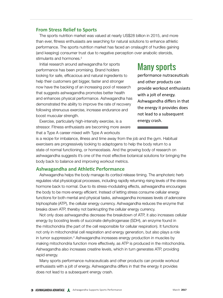#### **From Stress Relief to Sports**

The sports nutrition market was valued at nearly US\$28 billion in 2015, and more than ever, fitness enthusiasts are searching for natural solutions to enhance athletic performance. The sports nutrition market has faced an onslaught of hurdles gaining (and keeping) consumer trust due to negative perception over anabolic steroids, stimulants and hormones.<sup>3</sup>

Initial research around ashwagandha for sports performance has been promising. Brand holders looking for safe, efficacious and natural ingredients to help their customers get bigger, faster and stronger now have the backing of an increasing pool of research that suggests ashwagandha promotes better health and enhances physical performance. Ashwagandha has demonstrated the ability to improve the rate of recovery following strenuous exercise, increase endurance and boost muscular strength.

Exercise, particularly high-intensity exercise, is a stressor. Fitness enthusiasts are becoming more aware that a Type A career mixed with Type A workouts

## Many sports

performance nutraceuticals and other products can provide workout enthusiasts with a jolt of energy. Ashwagandha differs in that the energy it provides does not lead to a subsequent energy crash.

is a recipe for imbalance, illness and time away from the job and the gym. Habitual exercisers are progressively looking to adaptogens to help the body return to a state of normal functioning, or homeostasis. And the growing body of research on ashwagandha suggests it's one of the most effective botanical solutions for bringing the body back to balance and improving workout metrics.

#### **Ashwagandha and Athletic Performance**

Ashwagandha helps the body manage its cortisol release timing. The amphoteric herb regulates vital physiological processes, including rapidly returning rising levels of the stress hormone back to normal. Due to its stress-modulating effects, ashwagandha encourages the body to be more energy efficient. Instead of letting stress consume cellular energy functions for both mental and physical tasks, ashwagandha increases levels of adenosine triphosphate (ATP), the cellular energy currency. Ashwagandha reduces the enzyme that breaks down ATP, thereby not bankrupting the cellular energy currency.

Not only does ashwagandha decrease the breakdown of ATP, it also increases cellular energy by boosting levels of succinate dehydrogenase (SDH), an enzyme found in the mitochondria (the part of the cell responsible for cellular respiration). It functions not only in mitochondrial cell respiration and energy generation, but also plays a role in tumor suppression.4 Ashwagandha increases energy production in muscles by making mitochondria function more effectively, as ATP is produced in the mitochondria. Ashwagandha also increases creatine levels, which in turn generates ATP, providing rapid energy.

Many sports performance nutraceuticals and other products can provide workout enthusiasts with a jolt of energy. Ashwagandha differs in that the energy it provides does not lead to a subsequent energy crash.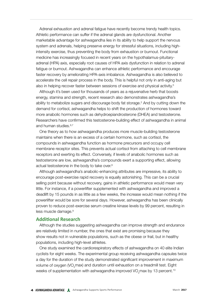Adrenal exhaustion and adrenal fatigue have recently become trendy health topics. Athletic performance can suffer if the adrenal glands are dysfunctional. Another marketable advantage for ashwagandha lies in its ability to help support the nervous system and adrenals, helping preserve energy for stressful situations, including highintensity exercise, thus preventing the body from exhaustion or burnout. Functional medicine has increasingly focused in recent years on the hypothalamus-pituitaryadrenal (HPA) axis, especially root causes of HPA axis dysfunction in relation to adrenal fatigue or burnout. Ashwagandha can enhance athletic performance and encourage faster recovery by ameliorating HPA-axis imbalance. Ashwagandha is also believed to accelerate the cell repair process in the body. This is helpful not only in anti-aging but also in helping recover faster between sessions of exercise and physical activity.<sup>5</sup>

Although it's been used for thousands of years as a rejuvenative herb that boosts energy, stamina and strength, recent research also demonstrates ashwagandha's ability to metabolize sugars and discourage body fat storage.<sup>2</sup> And by cutting down the demand for cortisol, ashwagandha helps to shift the production of hormones toward more anabolic hormones such as dehydroepiandrosterone (DHEA) and testosterone. Researchers have confirmed this testosterone-building effect of ashwagandha in animal and human studies.<sup>6,7</sup>

One theory as to how ashwagandha produces more muscle-building testosterone maintains when there is an excess of a certain hormone, such as cortisol, the compounds in ashwagandha function as hormone precursors and occupy cell membrane receptor sites. This prevents actual cortisol from attaching to cell membrane receptors and exerting its effect. Conversely, if levels of anabolic hormones such as testosterone are low, ashwagandha's compounds exert a supporting effect, allowing actual testosterone in the body to take over.8

Although ashwagandha's anabolic-enhancing attributes are impressive, its ability to encourage post-exercise rapid recovery is equally astonishing. This can be a crucial selling point because without recovery, gains in athletic performance would mean very little. For instance, if a powerlifter supplemented with ashwagandha and improved a deadlift by 15 pounds in as little as a few weeks, the increase would mean nothing if the powerlifter would be sore for several days. However, ashwagandha has been clinically proven to reduce post-exercise serum creatine kinase levels by 99 percent, resulting in less muscle damage.<sup>9</sup>

#### **Additional Research**

Although the studies suggesting ashwagandha can improve strength and endurance are relatively limited in number, the ones that exist are promising because they show results not in vulnerable populations, such as the obese or frail, but in healthy populations, including high-level athletes.

One study examined the cardiorespiratory effects of ashwagandha on 40 elite Indian cyclists for eight weeks. The experimental group receiving ashwagandha capsules twice a day for the duration of the study demonstrated significant improvement in maximum volume of oxygen (VO<sub>2</sub>max) and duration until exhaustion on a treadmill test. Eight weeks of supplementation with ashwagandha improved VO<sub>2</sub>max by 13 percent.<sup>10</sup>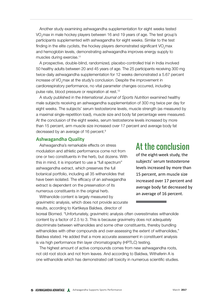Another study examining ashwagandha supplementation for eight weeks tested VO<sub>2</sub>max in male hockey players between 16 and 19 years of age. The test group's participants supplemented with ashwagandha for eight weeks. Similar to the test finding in the elite cyclists, the hockey players demonstrated significant VO<sub>2</sub>max and hemoglobin levels, demonstrating ashwagandha improves energy supply to muscles during exercise.11

A prospective, double-blind, randomized, placebo-controlled trial in India involved 50 healthy adults between 20 and 45 years of age. The 25 participants receiving 300 mg twice-daily ashwagandha supplementation for 12 weeks demonstrated a 5.67 percent increase of VO<sub>2</sub>max at the study's conclusion. Despite the improvement in cardiorespiratory performance, no vital parameter changes occurred, including pulse rate, blood pressure or respiration at rest.12

A study published in the *International Journal of Sports Nutrition* examined healthy male subjects receiving an ashwagandha supplementation of 300 mg twice per day for eight weeks. The subjects' serum testosterone levels, muscle strength (as measured by a maximal single-repetition load), muscle size and body fat percentage were measured. At the conclusion of the eight weeks, serum testosterone levels increased by more than 15 percent, arm muscle size increased over 17 percent and average body fat decreased by an average of 16 percent.9

#### **Ashwagandha Quality**

Ashwagandha's remarkable effects on stress modulation and athletic performance come not from one or two constituents in the herb, but dozens. With this in mind, it is important to use a "full spectrum" ashwagandha extract, which preserves the full botanical portfolio, including all 35 withanolides that have been isolated. The efficacy of an ashwagandha extract is dependent on the preservation of its numerous constituents in the original herb.

Withanolide content is largely measured by gravimetric analysis, which does not provide accurate results, according to Kartikeya Baldwa, director of

### At the conclusion

of the eight-week study, the subjects' serum testosterone levels increased by more than 15 percent, arm muscle size increased over 17 percent and average body fat decreased by an average of 16 percent.

Ixoreal Biomed. "Unfortunately, gravimetric analysis often overestimates withanolide content by a factor of 2.5 to 3. This is because gravimetry does not adequately discriminate between withanolides and some other constituents, thereby bundling withanolides with other compounds and over-assessing the extent of withanolides," Baldwa stated. He added that a more accurate assessment in constituent analysis is via high performance thin layer chromatography (HPTLC) testing.

The highest amount of active compounds comes from new ashwagandha roots, not old root stock and not from leaves. And according to Baldwa, Withaferin A is one withanolide which has demonstrated cell toxicity in numerous scientific studies.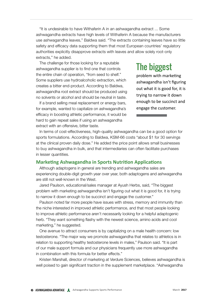"It is undesirable to have Withaferin A in an ashwagandha extract ... Some ashwagandha extracts have high levels of Withaferin A because the manufacturers use ashwagandha leaves," Baldwa said. "The extracts containing leaves have so little safety and efficacy data supporting them that most European countries' regulatory authorities explicitly disapprove extracts with leaves and allow solely root-only extracts," he added.

The challenge for those looking for a reputable ashwagandha supplier is to find one that controls the entire chain of operation, "from seed to shelf." Some suppliers use hydroalcoholic extraction, which creates a bitter end-product. According to Baldwa, ashwagandha root extract should be produced using no solvents or alcohol and should be neutral in taste.

If a brand selling meal replacement or energy bars, for example, wanted to capitalize on ashwagandha's efficacy in boosting athletic performance, it would be hard to gain repeat sales if using an ashwagandha extract with an offensive, bitter taste.

# The biggest

problem with marketing ashwagandha isn't figuring out what it is good for, it is trying to narrow it down enough to be succinct and engage the customer.

In terms of cost-effectiveness, high-quality ashwagandha can be a good option for sports formulations. According to Baldwa, KSM-66 costs "about \$1 for 30 servings at the clinical proven daily dose." He added the price point allows small businesses to buy ashwagandha in bulk, and that intermediaries can often facilitate purchases in lesser quantities.

#### **Marketing Ashwagandha in Sports Nutrition Applications**

Although adaptogens in general are trending and ashwagandha sales are experiencing double-digit growth year over year, both adaptogens and ashwagandha are still not well-known in the West.

Jared Paulson, educational/sales manager at Ayush Herbs, said, "The biggest problem with marketing ashwagandha isn't figuring out what it is good for, it is trying to narrow it down enough to be succinct and engage the customer."

Paulson noted far more people have issues with stress, memory and immunity than the niche interested in improved athletic performance, and that most people looking to improve athletic performance aren't necessarily looking for a helpful adaptogenic herb. "They want something flashy with the newest science, amino acids and cool marketing," he suggested.

One avenue to attract consumers is by capitalizing on a male health concern: low testosterone. "The major way we promote ashwagandha that relates to athletics is in relation to supporting healthy testosterone levels in males," Paulson said. "It is part of our male support formula and our physicians frequently use more ashwagandha in combination with this formula for better effects."

Kristen Marshall, director of marketing at Verdure Sciences, believes ashwagandha is well poised to gain significant traction in the supplement marketplace. "Ashwagandha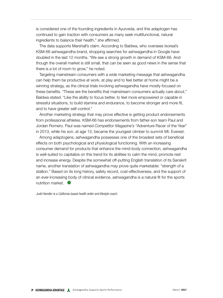is considered one of the founding ingredients in Ayurveda, and this adaptogen has continued to gain traction with consumers as many seek multifunctional, natural ingredients to balance their health," she affirmed.

The data supports Marshall's claim. According to Baldwa, who oversees Ixoreal's KSM-66 ashwagandha brand, shopping searches for ashwagandha in Google have doubled in the last 12 months. "We see a strong growth in demand of KSM-66. And though the overall market is still small, that can be seen as good news in the sense that there is a lot of room to grow," he noted.

Targeting mainstream consumers with a wide marketing message that ashwagandha can help them be productive at work, at play and to feel better at home might be a winning strategy, as the clinical trials involving ashwagandha have mostly focused on these benefits. "These are the benefits that mainstream consumers actually care about," Baldwa stated. "Like the ability to focus better, to feel more empowered or capable in stressful situations, to build stamina and endurance, to become stronger and more fit, and to have greater self-control."

Another marketing strategy that may prove effective is getting product endorsements from professional athletes. KSM-66 has endorsements from father-son team Paul and Jordan Romero. Paul was named *Competitor Magazine's* "Adventure Racer of the Year" in 2013, while his son, at age 13, became the youngest climber to summit Mt. Everest.

Among adaptogens, ashwagandha possesses one of the broadest sets of beneficial effects on both psychological and physiological functioning. With an increasing consumer demand for products that enhance the mind-body connection, ashwagandha is well-suited to capitalize on this trend for its abilities to calm the mind, promote rest and increase energy. Despite the somewhat off-putting English translation of its Sanskrit name, another translation of ashwagandha may prove quite marketable: "strength of a stallion." Based on its long history, safety record, cost-effectiveness, and the support of an ever-increasing body of clinical evidence, ashwagandha is a natural fit for the sports nutrition market.

*Judd Handler is a California-based health writer and lifestyle coach.*